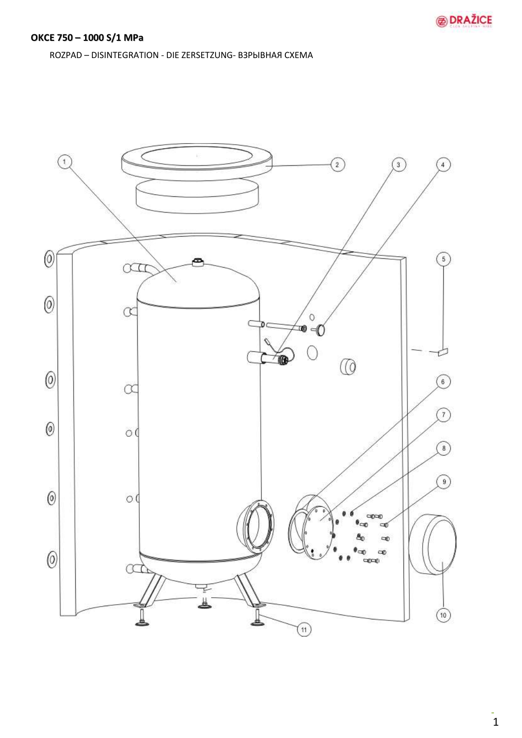ROZPAD - DISINTEGRATION - DIE ZERSETZUNG- B3PbIBHAA CXEMA